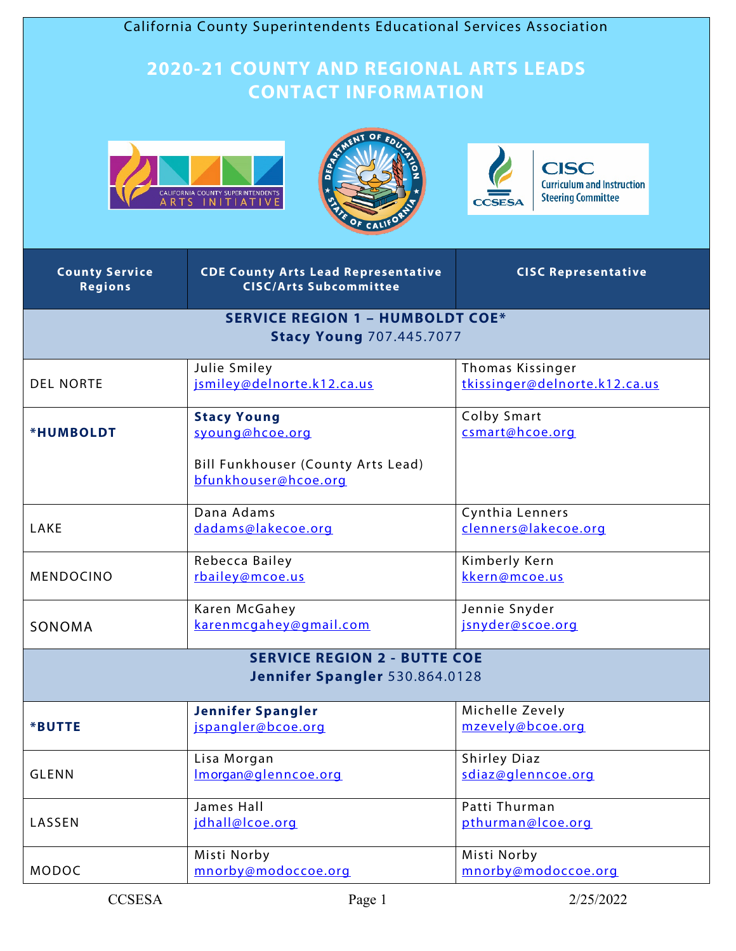| California County Superintendents Educational Services Association         |                                                                                                     |                                                                                               |  |  |
|----------------------------------------------------------------------------|-----------------------------------------------------------------------------------------------------|-----------------------------------------------------------------------------------------------|--|--|
|                                                                            | <b>2020-21 COUNTY AND REGIONAL ARTS LEADS</b><br><b>CONTACT INFORMATION</b>                         |                                                                                               |  |  |
|                                                                            | CALIFORNIA COUNTY SUPERINTENDENTS<br>A R T S =   N   T   A T   V E                                  | <b>CISC</b><br><b>Curriculum and Instruction</b><br><b>Steering Committee</b><br><b>CCSES</b> |  |  |
| <b>County Service</b><br><b>Regions</b>                                    | <b>CDE County Arts Lead Representative</b><br><b>CISC/Arts Subcommittee</b>                         | <b>CISC Representative</b>                                                                    |  |  |
| <b>SERVICE REGION 1 - HUMBOLDT COE*</b><br><b>Stacy Young 707.445.7077</b> |                                                                                                     |                                                                                               |  |  |
| <b>DEL NORTE</b>                                                           | Julie Smiley<br>jsmiley@delnorte.k12.ca.us                                                          | Thomas Kissinger<br>tkissinger@delnorte.k12.ca.us                                             |  |  |
| *HUMBOLDT                                                                  | <b>Stacy Young</b><br>syoung@hcoe.org<br>Bill Funkhouser (County Arts Lead)<br>bfunkhouser@hcoe.org | Colby Smart<br>csmart@hcoe.org                                                                |  |  |
| <b>LAKE</b>                                                                | Dana Adams<br>dadams@lakecoe.org                                                                    | Cynthia Lenners<br>clenners@lakecoe.org                                                       |  |  |
| MENDOCINO                                                                  | Rebecca Bailey<br>rbailey@mcoe.us                                                                   | Kimberly Kern<br>kkern@mcoe.us                                                                |  |  |
| SONOMA                                                                     | Karen McGahey<br>karenmcgahey@gmail.com                                                             | Jennie Snyder<br>jsnyder@scoe.org                                                             |  |  |
|                                                                            | <b>SERVICE REGION 2 - BUTTE COE</b><br>Jennifer Spangler 530.864.0128                               |                                                                                               |  |  |
| *BUTTE                                                                     | <b>Jennifer Spangler</b><br>jspangler@bcoe.org                                                      | Michelle Zevely<br>mzevely@bcoe.org                                                           |  |  |
| <b>GLENN</b>                                                               | Lisa Morgan<br>Imorgan@glenncoe.org                                                                 | <b>Shirley Diaz</b><br>sdiaz@glenncoe.org                                                     |  |  |
| LASSEN                                                                     | James Hall<br>jdhall@lcoe.org                                                                       | Patti Thurman<br>pthurman@lcoe.org                                                            |  |  |
| MODOC                                                                      | Misti Norby<br>mnorby@modoccoe.org                                                                  | Misti Norby<br>mnorby@modoccoe.org                                                            |  |  |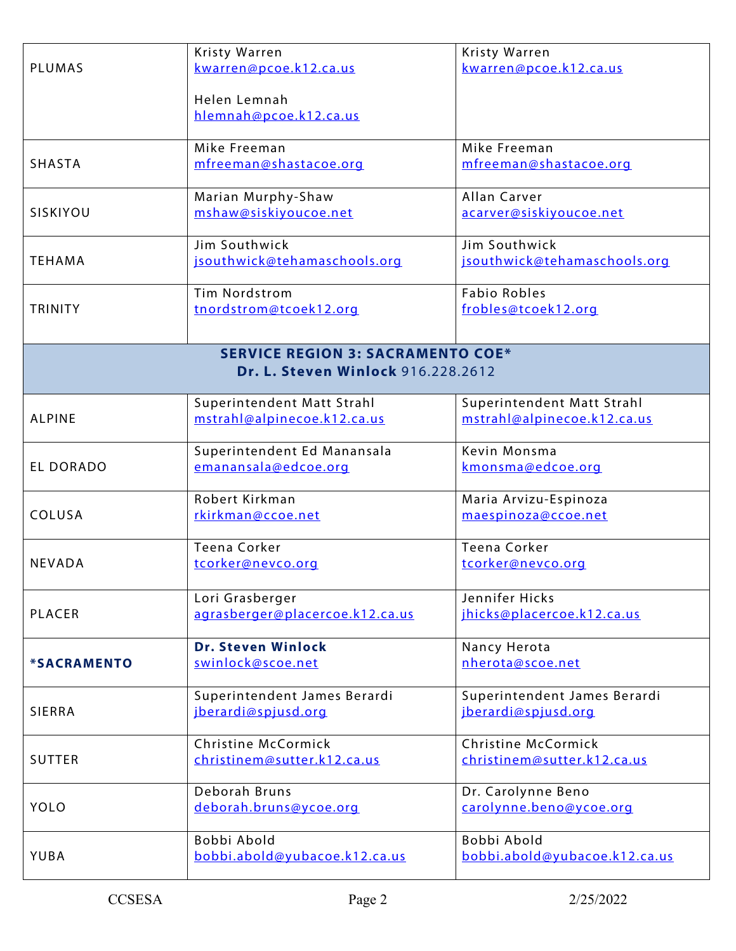|                                          | Kristy Warren                   | Kristy Warren                            |  |  |
|------------------------------------------|---------------------------------|------------------------------------------|--|--|
| <b>PLUMAS</b>                            | kwarren@pcoe.k12.ca.us          | kwarren@pcoe.k12.ca.us                   |  |  |
|                                          |                                 |                                          |  |  |
|                                          | Helen Lemnah                    |                                          |  |  |
|                                          | hlemnah@pcoe.k12.ca.us          |                                          |  |  |
|                                          |                                 |                                          |  |  |
|                                          | Mike Freeman                    | Mike Freeman                             |  |  |
| <b>SHASTA</b>                            | mfreeman@shastacoe.org          | mfreeman@shastacoe.org                   |  |  |
|                                          | Marian Murphy-Shaw              | Allan Carver                             |  |  |
| SISKIYOU                                 | mshaw@siskiyoucoe.net           | acarver@siskiyoucoe.net                  |  |  |
|                                          |                                 |                                          |  |  |
|                                          | Jim Southwick                   | Jim Southwick                            |  |  |
| <b>TEHAMA</b>                            | jsouthwick@tehamaschools.org    | jsouthwick@tehamaschools.org             |  |  |
|                                          |                                 |                                          |  |  |
|                                          | <b>Tim Nordstrom</b>            | <b>Fabio Robles</b>                      |  |  |
| <b>TRINITY</b>                           | tnordstrom@tcoek12.org          | frobles@tcoek12.org                      |  |  |
|                                          |                                 |                                          |  |  |
|                                          |                                 |                                          |  |  |
| <b>SERVICE REGION 3: SACRAMENTO COE*</b> |                                 |                                          |  |  |
| Dr. L. Steven Winlock 916.228.2612       |                                 |                                          |  |  |
|                                          | Superintendent Matt Strahl      | Superintendent Matt Strahl               |  |  |
| <b>ALPINE</b>                            | mstrahl@alpinecoe.k12.ca.us     | mstrahl@alpinecoe.k12.ca.us              |  |  |
|                                          |                                 |                                          |  |  |
|                                          | Superintendent Ed Manansala     | Kevin Monsma                             |  |  |
| <b>EL DORADO</b>                         | emanansala@edcoe.org            | kmonsma@edcoe.org                        |  |  |
|                                          |                                 |                                          |  |  |
|                                          | Robert Kirkman                  | Maria Arvizu-Espinoza                    |  |  |
| COLUSA                                   | rkirkman@ccoe.net               | maespinoza@ccoe.net                      |  |  |
|                                          |                                 |                                          |  |  |
| <b>NEVADA</b>                            | <b>Teena Corker</b>             | <b>Teena Corker</b><br>tcorker@nevco.org |  |  |
|                                          | tcorker@nevco.org               |                                          |  |  |
|                                          | Lori Grasberger                 | Jennifer Hicks                           |  |  |
| <b>PLACER</b>                            | agrasberger@placercoe.k12.ca.us | jhicks@placercoe.k12.ca.us               |  |  |
|                                          |                                 |                                          |  |  |
|                                          | <b>Dr. Steven Winlock</b>       | Nancy Herota                             |  |  |
| <b>*SACRAMENTO</b>                       | swinlock@scoe.net               | nherota@scoe.net                         |  |  |
|                                          |                                 |                                          |  |  |
|                                          | Superintendent James Berardi    | Superintendent James Berardi             |  |  |
| <b>SIERRA</b>                            | jberardi@spjusd.org             | jberardi@spjusd.org                      |  |  |
|                                          |                                 |                                          |  |  |
|                                          | Christine McCormick             | Christine McCormick                      |  |  |
| <b>SUTTER</b>                            | christinem@sutter.k12.ca.us     | christinem@sutter.k12.ca.us              |  |  |
|                                          |                                 |                                          |  |  |
|                                          | Deborah Bruns                   | Dr. Carolynne Beno                       |  |  |
| <b>YOLO</b>                              | deborah.bruns@ycoe.org          | carolynne.beno@ycoe.org                  |  |  |
|                                          | Bobbi Abold                     | Bobbi Abold                              |  |  |
|                                          |                                 |                                          |  |  |
|                                          |                                 |                                          |  |  |
| YUBA                                     | bobbi.abold@yubacoe.k12.ca.us   | bobbi.abold@yubacoe.k12.ca.us            |  |  |
|                                          |                                 |                                          |  |  |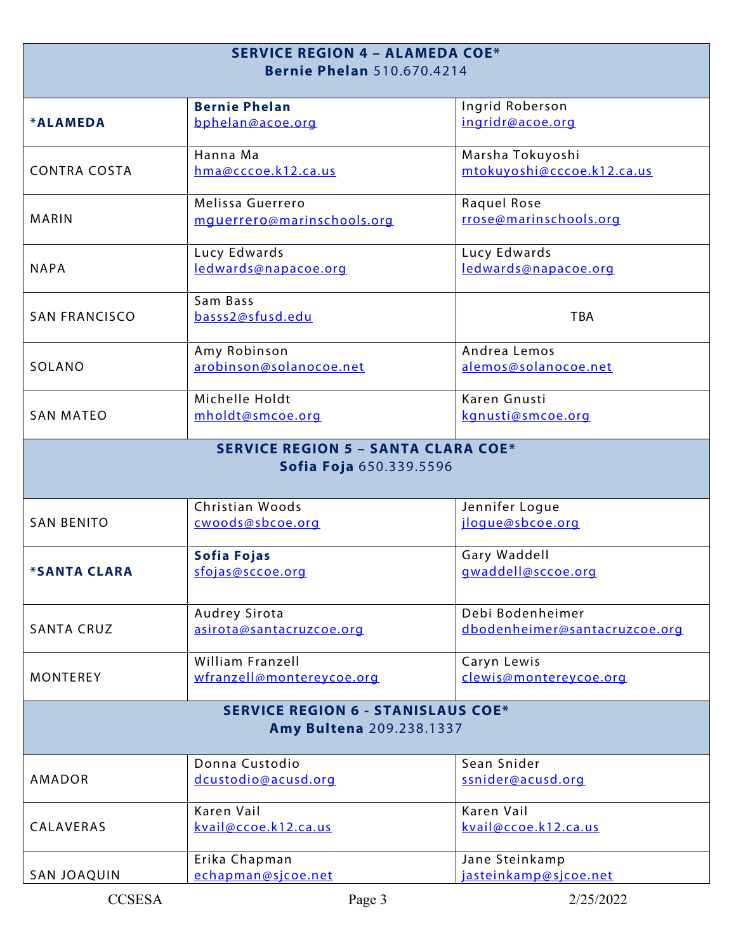| <b>SERVICE REGION 4 - ALAMEDA COE*</b>     |                                        |                                    |  |  |
|--------------------------------------------|----------------------------------------|------------------------------------|--|--|
| <b>Bernie Phelan</b> 510.670.4214          |                                        |                                    |  |  |
|                                            |                                        |                                    |  |  |
|                                            | <b>Bernie Phelan</b>                   | Ingrid Roberson                    |  |  |
| *ALAMEDA                                   | bphelan@acoe.org                       | ingridr@acoe.org                   |  |  |
|                                            | Hanna Ma                               | Marsha Tokuyoshi                   |  |  |
| <b>CONTRA COSTA</b>                        | hma@cccoe.k12.ca.us                    | mtokuyoshi@cccoe.k12.ca.us         |  |  |
|                                            | Melissa Guerrero                       | Raquel Rose                        |  |  |
| <b>MARIN</b>                               | mquerrero@marinschools.org             | rrose@marinschools.org             |  |  |
|                                            | Lucy Edwards                           | Lucy Edwards                       |  |  |
| <b>NAPA</b>                                | ledwards@napacoe.org                   | ledwards@napacoe.org               |  |  |
|                                            | Sam Bass                               |                                    |  |  |
| <b>SAN FRANCISCO</b>                       | basss2@sfusd.edu                       | <b>TBA</b>                         |  |  |
|                                            | Amy Robinson                           | Andrea Lemos                       |  |  |
| SOLANO                                     | arobinson@solanocoe.net                | alemos@solanocoe.net               |  |  |
|                                            | Michelle Holdt                         | Karen Gnusti                       |  |  |
| <b>SAN MATEO</b>                           | mholdt@smcoe.org                       | kgnusti@smcoe.org                  |  |  |
| <b>SERVICE REGION 5 - SANTA CLARA COE*</b> |                                        |                                    |  |  |
|                                            | Sofia Foja 650.339.5596                |                                    |  |  |
|                                            | Christian Woods                        | Jennifer Logue                     |  |  |
| <b>SAN BENITO</b>                          | cwoods@sbcoe.org                       | jloque@sbcoe.org                   |  |  |
|                                            |                                        |                                    |  |  |
| <i><b>*SANTA CLARA</b></i>                 | <b>Sofia Fojas</b><br>sfojas@sccoe.org | Gary Waddell<br>gwaddell@sccoe.org |  |  |
|                                            |                                        |                                    |  |  |
|                                            | Audrey Sirota                          | Debi Bodenheimer                   |  |  |
| <b>SANTA CRUZ</b>                          | asirota@santacruzcoe.org               | dbodenheimer@santacruzcoe.org      |  |  |
|                                            | <b>William Franzell</b>                | Caryn Lewis                        |  |  |
| <b>MONTEREY</b>                            | wfranzell@montereycoe.org              | clewis@montereycoe.org             |  |  |
| <b>SERVICE REGION 6 - STANISLAUS COE*</b>  |                                        |                                    |  |  |
| Amy Bultena 209.238.1337                   |                                        |                                    |  |  |
|                                            | Donna Custodio                         | Sean Snider                        |  |  |
| <b>AMADOR</b>                              | dcustodio@acusd.org                    | ssnider@acusd.org                  |  |  |
|                                            | Karen Vail                             | Karen Vail                         |  |  |
| CALAVERAS                                  | kvail@ccoe.k12.ca.us                   | kvail@ccoe.k12.ca.us               |  |  |
|                                            | Erika Chapman                          | Jane Steinkamp                     |  |  |
| <b>SAN JOAQUIN</b>                         | echapman@sjcoe.net                     | jasteinkamp@sjcoe.net              |  |  |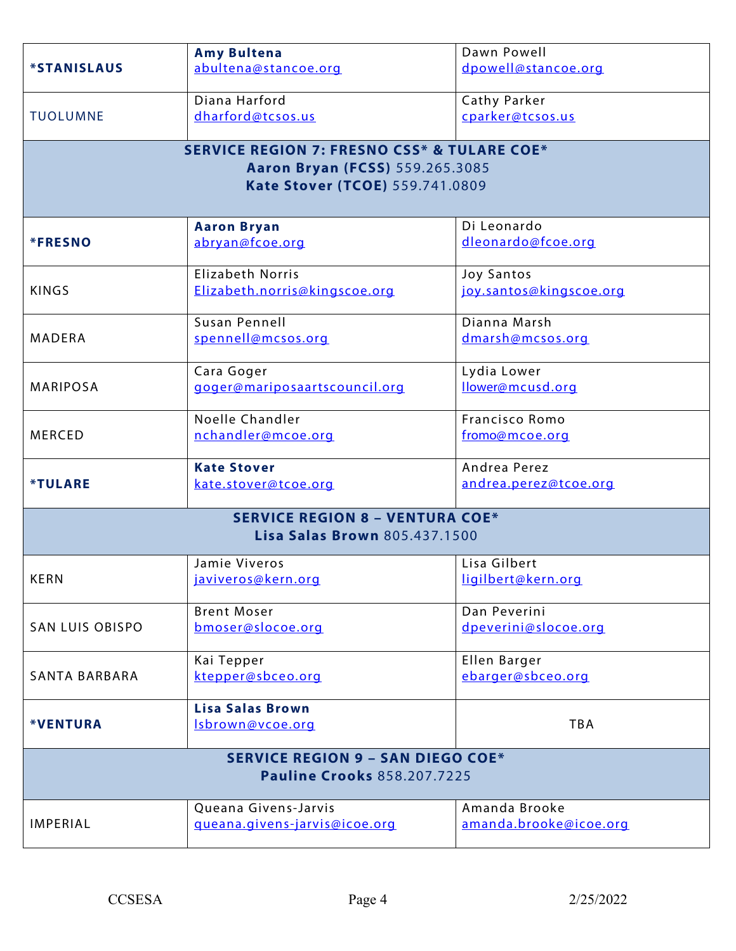|                                          | <b>Amy Bultena</b>                                     | Dawn Powell             |  |  |
|------------------------------------------|--------------------------------------------------------|-------------------------|--|--|
| <i><b>*STANISLAUS</b></i>                | abultena@stancoe.org                                   | dpowell@stancoe.org     |  |  |
|                                          |                                                        |                         |  |  |
|                                          | Diana Harford                                          | Cathy Parker            |  |  |
| <b>TUOLUMNE</b>                          | dharford@tcsos.us                                      | cparker@tcsos.us        |  |  |
|                                          |                                                        |                         |  |  |
|                                          | <b>SERVICE REGION 7: FRESNO CSS* &amp; TULARE COE*</b> |                         |  |  |
|                                          | <b>Aaron Bryan (FCSS)</b> 559.265.3085                 |                         |  |  |
|                                          | Kate Stover (TCOE) 559.741.0809                        |                         |  |  |
|                                          |                                                        |                         |  |  |
|                                          | <b>Aaron Bryan</b>                                     | Di Leonardo             |  |  |
| <b>*FRESNO</b>                           | abryan@fcoe.org                                        | dleonardo@fcoe.org      |  |  |
|                                          |                                                        |                         |  |  |
|                                          | <b>Elizabeth Norris</b>                                | <b>Joy Santos</b>       |  |  |
| <b>KINGS</b>                             | Elizabeth.norris@kingscoe.org                          | joy.santos@kingscoe.org |  |  |
|                                          | Susan Pennell                                          | Dianna Marsh            |  |  |
| <b>MADERA</b>                            | spennell@mcsos.org                                     | dmarsh@mcsos.org        |  |  |
|                                          |                                                        |                         |  |  |
|                                          | Cara Goger                                             | Lydia Lower             |  |  |
| <b>MARIPOSA</b>                          | goger@mariposaartscouncil.org                          | llower@mcusd.org        |  |  |
|                                          |                                                        |                         |  |  |
|                                          | Noelle Chandler                                        | Francisco Romo          |  |  |
| <b>MERCED</b>                            | nchandler@mcoe.org                                     | fromo@mcoe.org          |  |  |
|                                          | <b>Kate Stover</b>                                     | Andrea Perez            |  |  |
| <b>*TULARE</b>                           | kate.stover@tcoe.org                                   | andrea.perez@tcoe.org   |  |  |
|                                          |                                                        |                         |  |  |
|                                          | <b>SERVICE REGION 8 - VENTURA COE*</b>                 |                         |  |  |
|                                          | <b>Lisa Salas Brown 805.437.1500</b>                   |                         |  |  |
|                                          | Jamie Viveros                                          | Lisa Gilbert            |  |  |
| <b>KERN</b>                              | javiveros@kern.org                                     | ligilbert@kern.ora      |  |  |
|                                          |                                                        |                         |  |  |
|                                          | <b>Brent Moser</b>                                     | Dan Peverini            |  |  |
| <b>SAN LUIS OBISPO</b>                   | bmoser@slocoe.org                                      | dpeverini@slocoe.org    |  |  |
|                                          |                                                        |                         |  |  |
|                                          | Kai Tepper                                             | Ellen Barger            |  |  |
| SANTA BARBARA                            | ktepper@sbceo.org                                      | ebarger@sbceo.org       |  |  |
|                                          |                                                        |                         |  |  |
|                                          | <b>Lisa Salas Brown</b>                                | <b>TBA</b>              |  |  |
| <b>*VENTURA</b>                          | Isbrown@vcoe.org                                       |                         |  |  |
| <b>SERVICE REGION 9 - SAN DIEGO COE*</b> |                                                        |                         |  |  |
| <b>Pauline Crooks 858.207.7225</b>       |                                                        |                         |  |  |
|                                          |                                                        |                         |  |  |
|                                          | Queana Givens-Jarvis                                   | Amanda Brooke           |  |  |
| <b>IMPERIAL</b>                          | queana.givens-jarvis@icoe.org                          | amanda.brooke@icoe.org  |  |  |
|                                          |                                                        |                         |  |  |